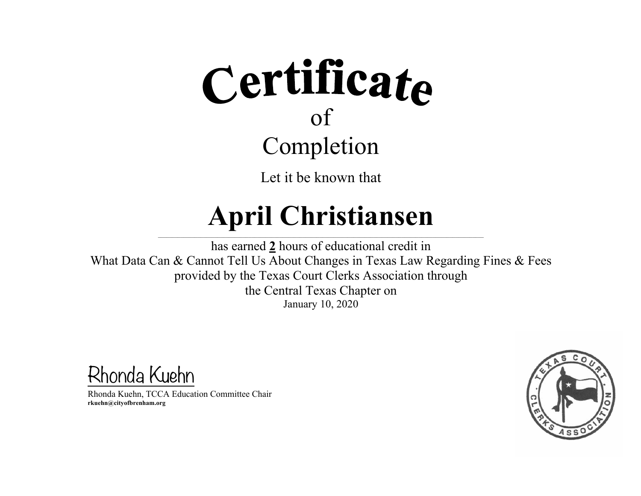

#### **April Christiansen**  $\mathcal{L} = \{ \mathcal{L} = \{ \mathcal{L} = \{ \mathcal{L} = \{ \mathcal{L} = \{ \mathcal{L} = \{ \mathcal{L} = \{ \mathcal{L} = \{ \mathcal{L} = \{ \mathcal{L} = \{ \mathcal{L} = \{ \mathcal{L} = \{ \mathcal{L} = \{ \mathcal{L} = \{ \mathcal{L} = \{ \mathcal{L} = \{ \mathcal{L} = \{ \mathcal{L} = \{ \mathcal{L} = \{ \mathcal{L} = \{ \mathcal{L} = \{ \mathcal{L} = \{ \mathcal{L} = \{ \mathcal{L} = \{ \mathcal{$

has earned **2** hours of educational credit in What Data Can & Cannot Tell Us About Changes in Texas Law Regarding Fines & Fees provided by the Texas Court Clerks Association through the Central Texas Chapter on January 10, 2020

Rhonda Kuehn

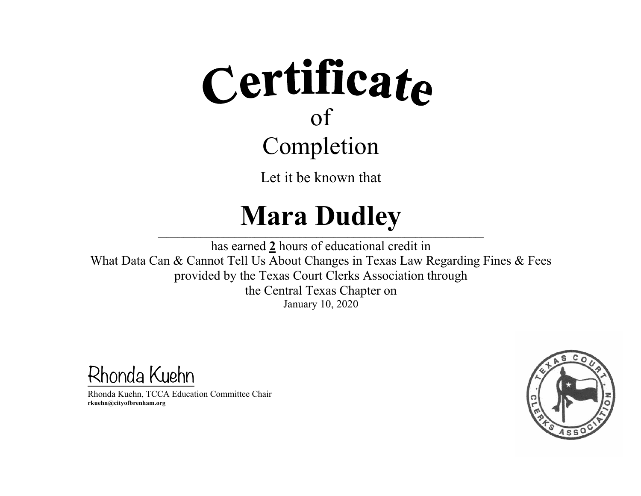# Certificate of Completion

Let it be known that

# **Mara Dudley**

 $\mathcal{L} = \{ \mathcal{L} = \{ \mathcal{L} = \{ \mathcal{L} = \{ \mathcal{L} = \{ \mathcal{L} = \{ \mathcal{L} = \{ \mathcal{L} = \{ \mathcal{L} = \{ \mathcal{L} = \{ \mathcal{L} = \{ \mathcal{L} = \{ \mathcal{L} = \{ \mathcal{L} = \{ \mathcal{L} = \{ \mathcal{L} = \{ \mathcal{L} = \{ \mathcal{L} = \{ \mathcal{L} = \{ \mathcal{L} = \{ \mathcal{L} = \{ \mathcal{L} = \{ \mathcal{L} = \{ \mathcal{L} = \{ \mathcal{$ has earned **2** hours of educational credit in What Data Can & Cannot Tell Us About Changes in Texas Law Regarding Fines & Fees provided by the Texas Court Clerks Association through the Central Texas Chapter on January 10, 2020

Rhonda Kuehn

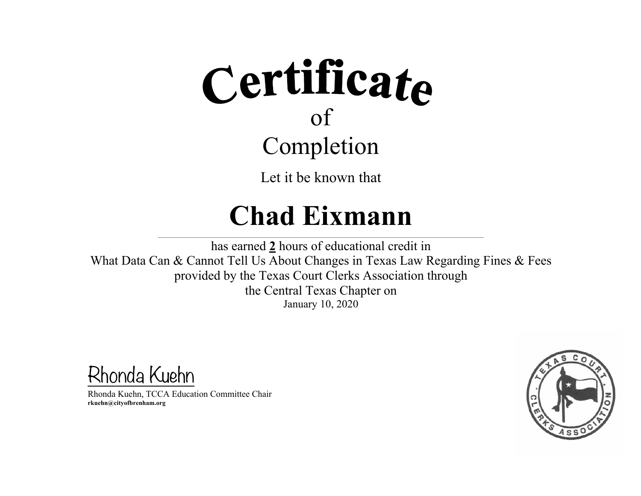

## **Chad Eixmann**

 $\mathcal{L} = \{ \mathcal{L} = \{ \mathcal{L} = \{ \mathcal{L} = \{ \mathcal{L} = \{ \mathcal{L} = \{ \mathcal{L} = \{ \mathcal{L} = \{ \mathcal{L} = \{ \mathcal{L} = \{ \mathcal{L} = \{ \mathcal{L} = \{ \mathcal{L} = \{ \mathcal{L} = \{ \mathcal{L} = \{ \mathcal{L} = \{ \mathcal{L} = \{ \mathcal{L} = \{ \mathcal{L} = \{ \mathcal{L} = \{ \mathcal{L} = \{ \mathcal{L} = \{ \mathcal{L} = \{ \mathcal{L} = \{ \mathcal{$ 

has earned **2** hours of educational credit in What Data Can & Cannot Tell Us About Changes in Texas Law Regarding Fines & Fees provided by the Texas Court Clerks Association through the Central Texas Chapter on January 10, 2020

Rhonda Kuehn

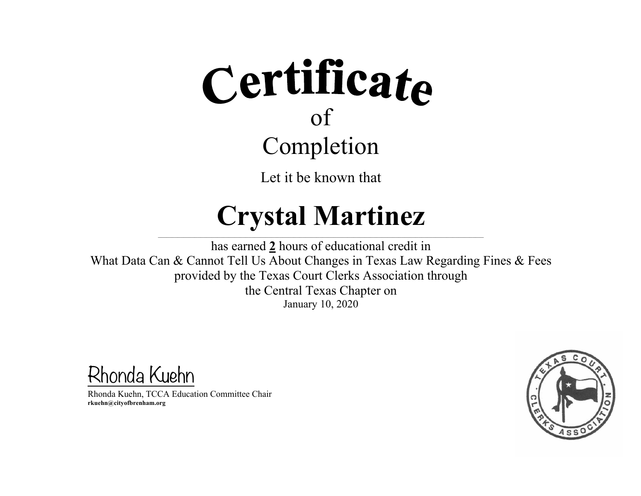

### **Crystal Martinez**

 $\mathcal{L} = \{ \mathcal{L} = \{ \mathcal{L} = \{ \mathcal{L} = \{ \mathcal{L} = \{ \mathcal{L} = \{ \mathcal{L} = \{ \mathcal{L} = \{ \mathcal{L} = \{ \mathcal{L} = \{ \mathcal{L} = \{ \mathcal{L} = \{ \mathcal{L} = \{ \mathcal{L} = \{ \mathcal{L} = \{ \mathcal{L} = \{ \mathcal{L} = \{ \mathcal{L} = \{ \mathcal{L} = \{ \mathcal{L} = \{ \mathcal{L} = \{ \mathcal{L} = \{ \mathcal{L} = \{ \mathcal{L} = \{ \mathcal{$ 

has earned **2** hours of educational credit in What Data Can & Cannot Tell Us About Changes in Texas Law Regarding Fines & Fees provided by the Texas Court Clerks Association through the Central Texas Chapter on January 10, 2020

Rhonda Kuehn